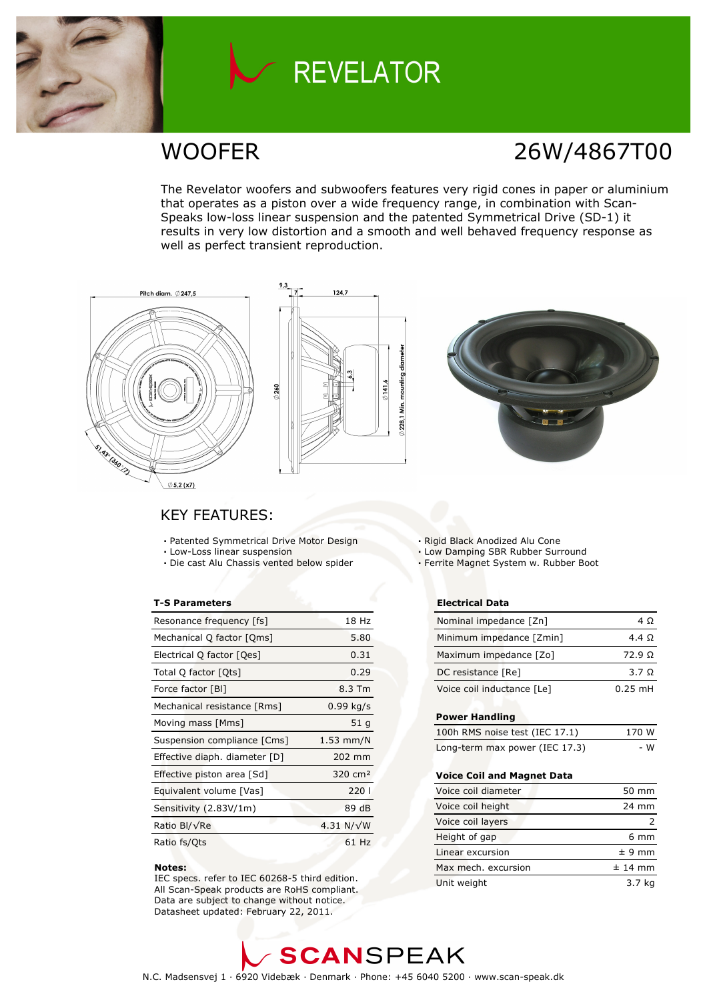

## **REVELATOR**

### WOOFER 26W/4867T00

The Revelator woofers and subwoofers features very rigid cones in paper or aluminium that operates as a piston over a wide frequency range, in combination with Scan-Speaks low-loss linear suspension and the patented Symmetrical Drive (SD-1) it results in very low distortion and a smooth and well behaved frequency response as well as perfect transient reproduction.





### KEY FEATURES:

- Patented Symmetrical Drive Motor Design
- Low-Loss linear suspension
- Die cast Alu Chassis vented below spider

#### T-S Parameters

| Resonance frequency [fs]      | 18 Hz                |
|-------------------------------|----------------------|
| Mechanical Q factor [Qms]     | 5.80                 |
| Electrical Q factor [Qes]     | 0.31                 |
| Total Q factor [Qts]          | 0.29                 |
| Force factor [BI]             | 8.3 Tm               |
| Mechanical resistance [Rms]   | $0.99$ kg/s          |
| Moving mass [Mms]             | 51 g                 |
| Suspension compliance [Cms]   | $1.53$ mm/N          |
| Effective diaph. diameter [D] | 202 mm               |
| Effective piston area [Sd]    | $320 \, \text{cm}^2$ |
| Equivalent volume [Vas]       | 220                  |
| Sensitivity (2.83V/1m)        | 89 dB                |
| Ratio Bl/√Re                  | 4.31 $N/\sqrt{W}$    |
| Ratio fs/Qts                  | 61 Hz                |

#### Notes:

 IEC specs. refer to IEC 60268-5 third edition. All Scan-Speak products are RoHS compliant. Data are subject to change without notice. Datasheet updated: February 22, 2011.

- Rigid Black Anodized Alu Cone
- Low Damping SBR Rubber Surround
- Ferrite Magnet System w. Rubber Boot

#### Electrical Data

| Nominal impedance [Zn]     | 4 O               |
|----------------------------|-------------------|
| Minimum impedance [Zmin]   | 4.4 Q             |
| Maximum impedance [Zo]     | $72.9 \Omega$     |
| DC resistance [Re]         | $3.7 \Omega$      |
| Voice coil inductance [Le] | $0.25 \text{ mH}$ |

#### Power Handling

| 100h RMS noise test (IEC 17.1) | 170 W |
|--------------------------------|-------|
| Long-term max power (IEC 17.3) | - W   |

#### Voice Coil and Magnet Data

| Voice coil diameter | 50 mm          |
|---------------------|----------------|
| Voice coil height   | 24 mm          |
| Voice coil layers   |                |
| Height of gap       | $6 \text{ mm}$ |
| Linear excursion    | $± 9$ mm       |
| Max mech, excursion | $±$ 14 mm      |
| Unit weight         | 3.7 kg         |